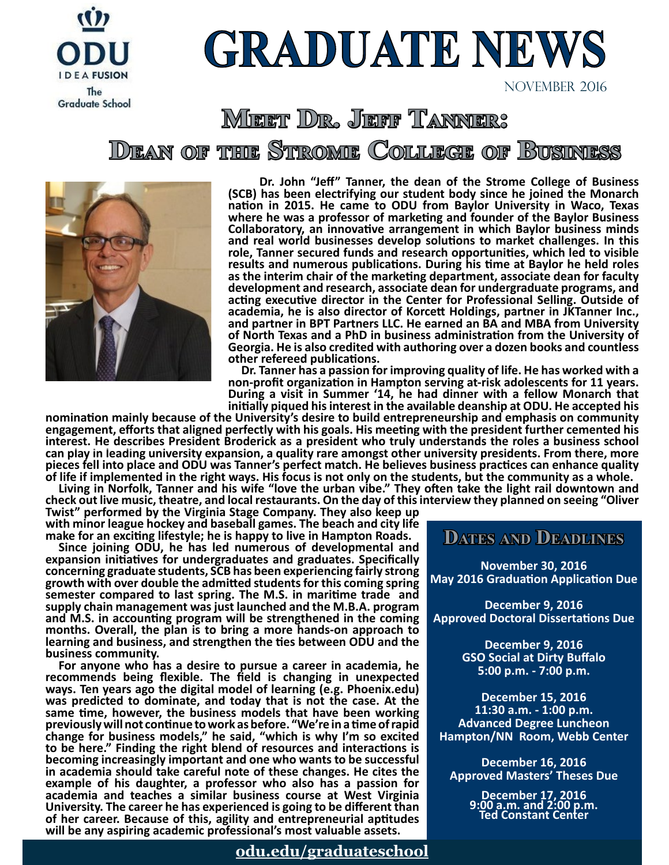

## **GRADUATE NEWS**

NOVEMBER 2016

#### **Meet Dr. Jeff Tanner: Dean of the Strome College of Business**



**\_\_ \_\_Dr. John "Jeff" Tanner, the dean of the Strome College of Business (SCB) has been electrifying our student body since he joined the Monarch nation in 2015. He came to ODU from Baylor University in Waco, Texas where he was a professor of marketing and founder of the Baylor Business Collaboratory, an innovative arrangement in which Baylor business minds and real world businesses develop solutions to market challenges. In this role, Tanner secured funds and research opportunities, which led to visible results and numerous publications. During his time at Baylor he held roles as the interim chair of the marketing department, associate dean for faculty development and research, associate dean for undergraduate programs, and acting executive director in the Center for Professional Selling. Outside of academia, he is also director of Korcett Holdings, partner in JKTanner Inc., and partner in BPT Partners LLC. He earned an BA and MBA from University of North Texas and a PhD in business administration from the University of Georgia. He is also credited with authoring over a dozen books and countless other refereed publications.**

**\_\_Dr. Tanner has a passion for improving quality of life. He has worked with a non-profit organization in Hampton serving at-risk adolescents for 11 years. During a visit in Summer '14, he had dinner with a fellow Monarch that initially piqued his interest in the available deanship at ODU. He accepted his** 

**nomination mainly because of the University's desire to build entrepreneurship and emphasis on community engagement, efforts that aligned perfectly with his goals. His meeting with the president further cemented his interest. He describes President Broderick as a president who truly understands the roles a business school can play in leading university expansion, a quality rare amongst other university presidents. From there, more pieces fell into place and ODU was Tanner's perfect match. He believes business practices can enhance quality of life if implemented in the right ways. His focus is not only on the students, but the community as a whole.** 

**\_\_Living in Norfolk, Tanner and his wife "love the urban vibe." They often take the light rail downtown and check out live music, theatre, and local restaurants. On the day of this interview they planned on seeing "Oliver** 

**Twist" performed by the Virginia Stage Company. They also keep up with minor league hockey and baseball games. The beach and city life make for an exciting lifestyle; he is happy to live in Hampton Roads.**

**\_\_Since joining ODU, he has led numerous of developmental and expansion initiatives for undergraduates and graduates. Specifically concerning graduate students, SCB has been experiencing fairly strong growth with over double the admitted students for this coming spring semester compared to last spring. The M.S. in maritime trade and supply chain management was just launched and the M.B.A. program and M.S. in accounting program will be strengthened in the coming months. Overall, the plan is to bring a more hands-on approach to learning and business, and strengthen the ties between ODU and the business community.**

**\_\_For anyone who has a desire to pursue a career in academia, he recommends being flexible. The field is changing in unexpected ways. Ten years ago the digital model of learning (e.g. Phoenix.edu) was predicted to dominate, and today that is not the case. At the same time, however, the business models that have been working previously will not continue to work as before. "We're in a time of rapid change for business models," he said, "which is why I'm so excited to be here." Finding the right blend of resources and interactions is becoming increasingly important and one who wants to be successful in academia should take careful note of these changes. He cites the example of his daughter, a professor who also has a passion for academia and teaches a similar business course at West Virginia University. The career he has experienced is going to be different than of her career. Because of this, agility and entrepreneurial aptitudes will be any aspiring academic professional's most valuable assets.**

#### **[odu.edu/graduateschool](http://odu.edu/graduateschool)**

#### **Dates and Deadlines**

**November 30, 2016 May 2016 Graduation Application Due**

**December 9, 2016 Approved Doctoral Dissertations Due**

> **December 9, 2016 GSO Social at Dirty Buffalo 5:00 p.m. - 7:00 p.m.**

**December 15, 2016 11:30 a.m. - 1:00 p.m. Advanced Degree Luncheon Hampton/NN Room, Webb Center**

**December 16, 2016 Approved Masters' Theses Due**

> **December 17, 2016 9:00 a.m. and 2:00 p.m. Ted Constant Center**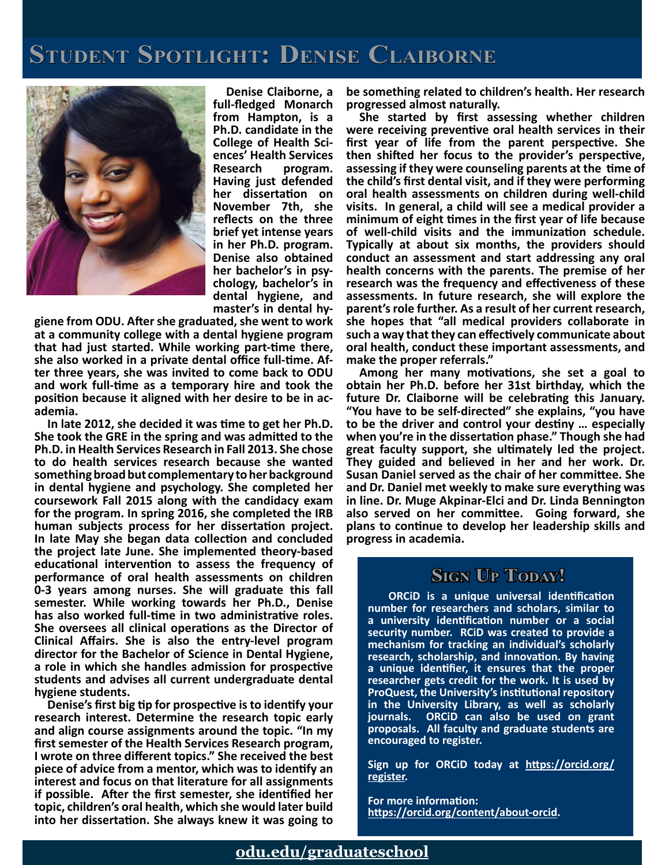### **Student Spotlight: Denise Claiborne**



**\_\_Denise Claiborne, a full-fledged Monarch from Hampton, is a Ph.D. candidate in the College of Health Sci- ences' Health Services Research program. Having just defended her dissertation on November 7th, she reflects on the three brief yet intense years in her Ph.D. program. Denise also obtained her bachelor's in psy- chology, bachelor's in dental hygiene, and** 

**master's in dental hy- giene from ODU. After she graduated, she went to work at a community college with a dental hygiene program that had just started. While working part-time there, she also worked in a private dental office full-time. Af- ter three years, she was invited to come back to ODU and work full-time as a temporary hire and took the position because it aligned with her desire to be in ac- ademia.** 

**\_\_In late 2012, she decided it was time to get her Ph.D. She took the GRE in the spring and was admitted to the Ph.D. in Health Services Research in Fall 2013. She chose to do health services research because she wanted something broad but complementary to her background in dental hygiene and psychology. She completed her coursework Fall 2015 along with the candidacy exam for the program. In spring 2016, she completed the IRB human subjects process for her dissertation project. In late May she began data collection and concluded the project late June. She implemented theory-based educational intervention to assess the frequency of performance of oral health assessments on children 0-3 years among nurses. She will graduate this fall semester. While working towards her Ph.D., Denise has also worked full-time in two administrative roles. She oversees all clinical operations as the Director of Clinical Affairs. She is also the entry-level program director for the Bachelor of Science in Dental Hygiene, a role in which she handles admission for prospective students and advises all current undergraduate dental hygiene students.** 

**\_\_Denise's first big tip for prospective is to identify your research interest. Determine the research topic early and align course assignments around the topic. "In my first semester of the Health Services Research program, I wrote on three different topics." She received the best piece of advice from a mentor, which was to identify an interest and focus on that literature for all assignments if possible. After the first semester, she identified her topic, children's oral health, which she would later build into her dissertation. She always knew it was going to** 

**be something related to children's health. Her research progressed almost naturally.** 

**\_\_She started by first assessing whether children were receiving preventive oral health services in their first year of life from the parent perspective. She then shifted her focus to the provider's perspective, assessing if they were counseling parents at the time of the child's first dental visit, and if they were performing oral health assessments on children during well-child visits. In general, a child will see a medical provider a minimum of eight times in the first year of life because of well-child visits and the immunization schedule. Typically at about six months, the providers should conduct an assessment and start addressing any oral health concerns with the parents. The premise of her research was the frequency and effectiveness of these assessments. In future research, she will explore the parent's role further. As a result of her current research, she hopes that "all medical providers collaborate in such a way that they can effectively communicate about oral health, conduct these important assessments, and make the proper referrals."**

**\_\_Among her many motivations, she set a goal to obtain her Ph.D. before her 31st birthday, which the future Dr. Claiborne will be celebrating this January. "You have to be self-directed" she explains, "you have to be the driver and control your destiny … especially when you're in the dissertation phase." Though she had great faculty support, she ultimately led the project. They guided and believed in her and her work. Dr. Susan Daniel served as the chair of her committee. She and Dr. Daniel met weekly to make sure everything was in line. Dr. Muge Akpinar-Elci and Dr. Linda Bennington also served on her committee. Going forward, she plans to continue to develop her leadership skills and progress in academia.**

#### **Stan Up Today!**

 **ORCiD is a unique universal identification number for researchers and scholars, similar to a university identification number or a social security number. RCiD was created to provide a mechanism for tracking an individual's scholarly research, scholarship, and innovation. By having a unique identifier, it ensures that the proper researcher gets credit for the work. It is used by ProQuest, the University's institutional repository in the University Library, as well as scholarly journals. ORCiD can also be used on grant proposals. All faculty and graduate students are encouraged to register.** 

**Sign up for ORCiD today at [https://orcid.org/](https://orcid.org/register) [register](https://orcid.org/register).**

**For more information: <https://orcid.org/content/about-orcid>.**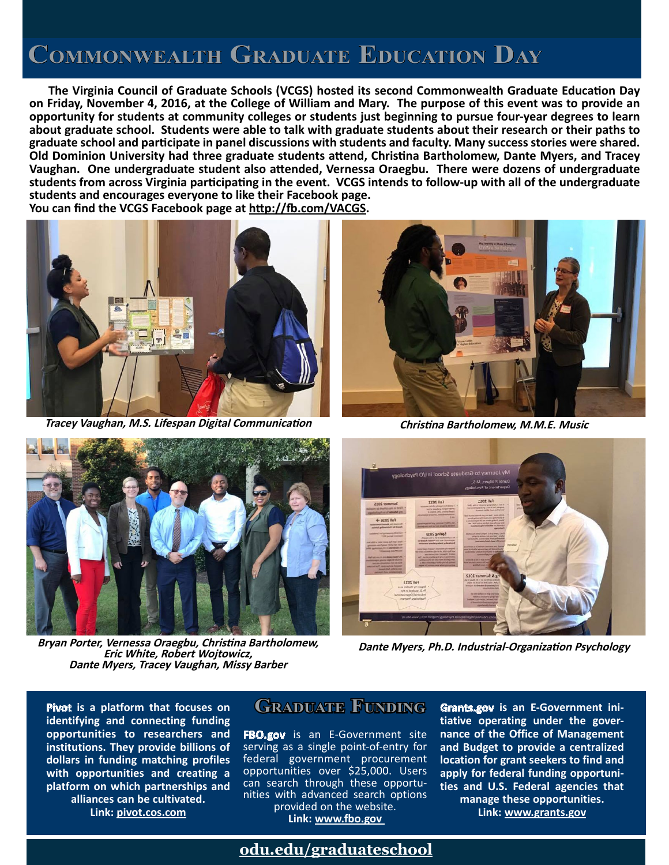### **Commonwealth Graduate Education Day**

 **The Virginia Council of Graduate Schools (VCGS) hosted its second Commonwealth Graduate Education Day on Friday, November 4, 2016, at the College of William and Mary. The purpose of this event was to provide an opportunity for students at community colleges or students just beginning to pursue four-year degrees to learn about graduate school. Students were able to talk with graduate students about their research or their paths to graduate school and participate in panel discussions with students and faculty. Many success stories were shared. Old Dominion University had three graduate students attend, Christina Bartholomew, Dante Myers, and Tracey Vaughan. One undergraduate student also attended, Vernessa Oraegbu. There were dozens of undergraduate students from across Virginia participating in the event. VCGS intends to follow-up with all of the undergraduate students and encourages everyone to like their Facebook page. You can find the VCGS Facebook page at <http://fb.com/VACGS>.**



**Tracey Vaughan, M.S. Lifespan Digital Communication Christina Bartholomew, M.M.E. Music**





**Bryan Porter, Vernessa Oraegbu, Christina Bartholomew, Eric White, Robert Wojtowicz, Dante Myers, Tracey Vaughan, Missy Barber**



**Dante Myers, Ph.D. Industrial-Organization Psychology**

**Pivot** is a platform that focuses on **GRADUATE FUNDING identifying and connecting funding opportunities to researchers and institutions. They provide billions of dollars in funding matching profiles with opportunities and creating a platform on which partnerships and alliances can be cultivated. [Link: pivot.cos.com](pivot.cos.com)**

**FBO.gov** is an E-Government site serving as a single point-of-entry for federal government procurement opportunities over \$25,000. Users can search through these opportunities with advanced search options provided on the website.

**Link:<www.fbo.gov>**

**Grants.gov is an E-Government initiative operating under the governance of the Office of Management and Budget to provide a centralized location for grant seekers to find and apply for federal funding opportunities and U.S. Federal agencies that manage these opportunities. [Link: www.grants.gov](http://www.grants.gov)**

#### **odu.edu/graduateschool**